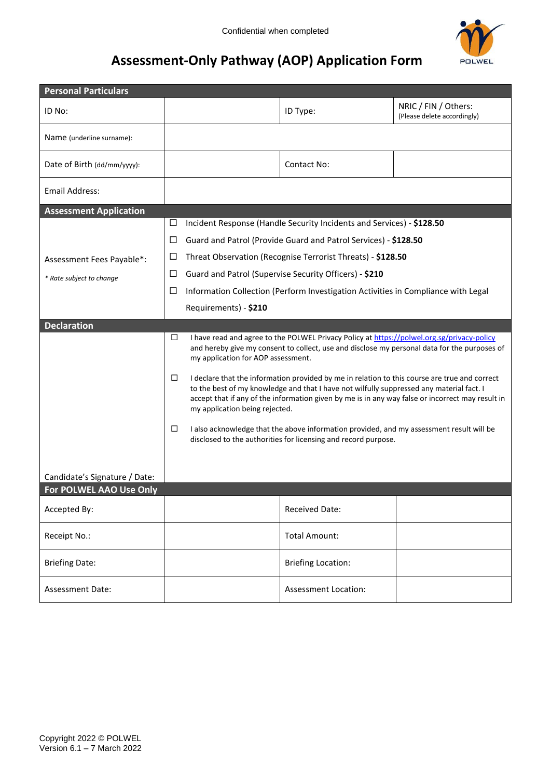

# **Assessment-Only Pathway (AOP) Application Form**

| <b>Personal Particulars</b>   |                                                                                                                                                                                                                                                                                                                                                                                                                                                                                                         |                                                                                        |                                                                 |                                                     |  |
|-------------------------------|---------------------------------------------------------------------------------------------------------------------------------------------------------------------------------------------------------------------------------------------------------------------------------------------------------------------------------------------------------------------------------------------------------------------------------------------------------------------------------------------------------|----------------------------------------------------------------------------------------|-----------------------------------------------------------------|-----------------------------------------------------|--|
| ID No:                        |                                                                                                                                                                                                                                                                                                                                                                                                                                                                                                         |                                                                                        | ID Type:                                                        | NRIC / FIN / Others:<br>(Please delete accordingly) |  |
| Name (underline surname):     |                                                                                                                                                                                                                                                                                                                                                                                                                                                                                                         |                                                                                        |                                                                 |                                                     |  |
| Date of Birth (dd/mm/yyyy):   |                                                                                                                                                                                                                                                                                                                                                                                                                                                                                                         |                                                                                        | Contact No:                                                     |                                                     |  |
| <b>Email Address:</b>         |                                                                                                                                                                                                                                                                                                                                                                                                                                                                                                         |                                                                                        |                                                                 |                                                     |  |
| <b>Assessment Application</b> |                                                                                                                                                                                                                                                                                                                                                                                                                                                                                                         |                                                                                        |                                                                 |                                                     |  |
|                               | Incident Response (Handle Security Incidents and Services) - \$128.50<br>ப                                                                                                                                                                                                                                                                                                                                                                                                                              |                                                                                        |                                                                 |                                                     |  |
|                               | □                                                                                                                                                                                                                                                                                                                                                                                                                                                                                                       |                                                                                        | Guard and Patrol (Provide Guard and Patrol Services) - \$128.50 |                                                     |  |
| Assessment Fees Payable*:     | Threat Observation (Recognise Terrorist Threats) - \$128.50<br>ப                                                                                                                                                                                                                                                                                                                                                                                                                                        |                                                                                        |                                                                 |                                                     |  |
| * Rate subject to change      | □                                                                                                                                                                                                                                                                                                                                                                                                                                                                                                       | Guard and Patrol (Supervise Security Officers) - \$210                                 |                                                                 |                                                     |  |
|                               |                                                                                                                                                                                                                                                                                                                                                                                                                                                                                                         | □<br>Information Collection (Perform Investigation Activities in Compliance with Legal |                                                                 |                                                     |  |
|                               |                                                                                                                                                                                                                                                                                                                                                                                                                                                                                                         | Requirements) - \$210                                                                  |                                                                 |                                                     |  |
| <b>Declaration</b>            |                                                                                                                                                                                                                                                                                                                                                                                                                                                                                                         |                                                                                        |                                                                 |                                                     |  |
|                               | □<br>I have read and agree to the POLWEL Privacy Policy at https://polwel.org.sg/privacy-policy<br>and hereby give my consent to collect, use and disclose my personal data for the purposes of<br>my application for AOP assessment.                                                                                                                                                                                                                                                                   |                                                                                        |                                                                 |                                                     |  |
|                               | □<br>I declare that the information provided by me in relation to this course are true and correct<br>to the best of my knowledge and that I have not wilfully suppressed any material fact. I<br>accept that if any of the information given by me is in any way false or incorrect may result in<br>my application being rejected.<br>□<br>I also acknowledge that the above information provided, and my assessment result will be<br>disclosed to the authorities for licensing and record purpose. |                                                                                        |                                                                 |                                                     |  |
|                               |                                                                                                                                                                                                                                                                                                                                                                                                                                                                                                         |                                                                                        |                                                                 |                                                     |  |
| Candidate's Signature / Date: |                                                                                                                                                                                                                                                                                                                                                                                                                                                                                                         |                                                                                        |                                                                 |                                                     |  |
| For POLWEL AAO Use Only       |                                                                                                                                                                                                                                                                                                                                                                                                                                                                                                         |                                                                                        |                                                                 |                                                     |  |
| Accepted By:                  |                                                                                                                                                                                                                                                                                                                                                                                                                                                                                                         |                                                                                        | <b>Received Date:</b>                                           |                                                     |  |
| Receipt No.:                  |                                                                                                                                                                                                                                                                                                                                                                                                                                                                                                         |                                                                                        | <b>Total Amount:</b>                                            |                                                     |  |
| <b>Briefing Date:</b>         |                                                                                                                                                                                                                                                                                                                                                                                                                                                                                                         |                                                                                        | <b>Briefing Location:</b>                                       |                                                     |  |
| <b>Assessment Date:</b>       |                                                                                                                                                                                                                                                                                                                                                                                                                                                                                                         |                                                                                        | <b>Assessment Location:</b>                                     |                                                     |  |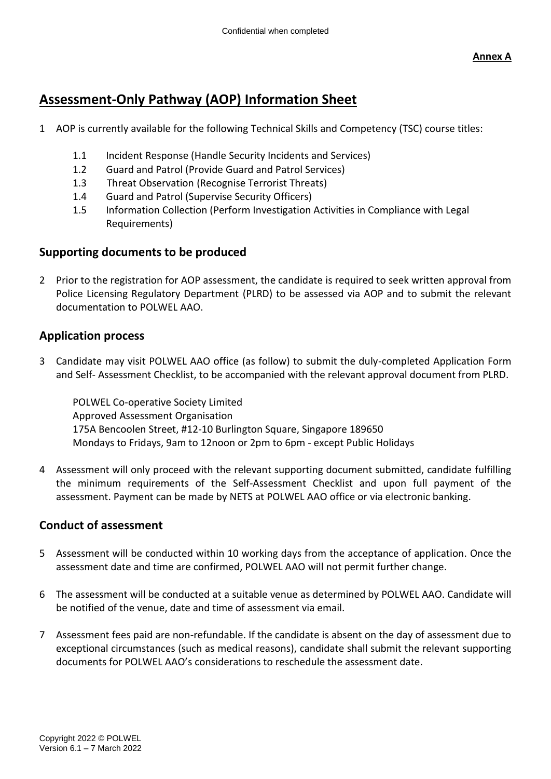## **Assessment-Only Pathway (AOP) Information Sheet**

- 1 AOP is currently available for the following Technical Skills and Competency (TSC) course titles:
	- 1.1 Incident Response (Handle Security Incidents and Services)
	- 1.2 Guard and Patrol (Provide Guard and Patrol Services)
	- 1.3 Threat Observation (Recognise Terrorist Threats)
	- 1.4 Guard and Patrol (Supervise Security Officers)
	- 1.5 Information Collection (Perform Investigation Activities in Compliance with Legal Requirements)

#### **Supporting documents to be produced**

2 Prior to the registration for AOP assessment, the candidate is required to seek written approval from Police Licensing Regulatory Department (PLRD) to be assessed via AOP and to submit the relevant documentation to POLWEL AAO.

#### **Application process**

3 Candidate may visit POLWEL AAO office (as follow) to submit the duly-completed Application Form and Self- Assessment Checklist, to be accompanied with the relevant approval document from PLRD.

POLWEL Co-operative Society Limited Approved Assessment Organisation 175A Bencoolen Street, #12-10 Burlington Square, Singapore 189650 Mondays to Fridays, 9am to 12noon or 2pm to 6pm - except Public Holidays

4 Assessment will only proceed with the relevant supporting document submitted, candidate fulfilling the minimum requirements of the Self-Assessment Checklist and upon full payment of the assessment. Payment can be made by NETS at POLWEL AAO office or via electronic banking.

#### **Conduct of assessment**

- 5 Assessment will be conducted within 10 working days from the acceptance of application. Once the assessment date and time are confirmed, POLWEL AAO will not permit further change.
- 6 The assessment will be conducted at a suitable venue as determined by POLWEL AAO. Candidate will be notified of the venue, date and time of assessment via email.
- 7 Assessment fees paid are non-refundable. If the candidate is absent on the day of assessment due to exceptional circumstances (such as medical reasons), candidate shall submit the relevant supporting documents for POLWEL AAO's considerations to reschedule the assessment date.